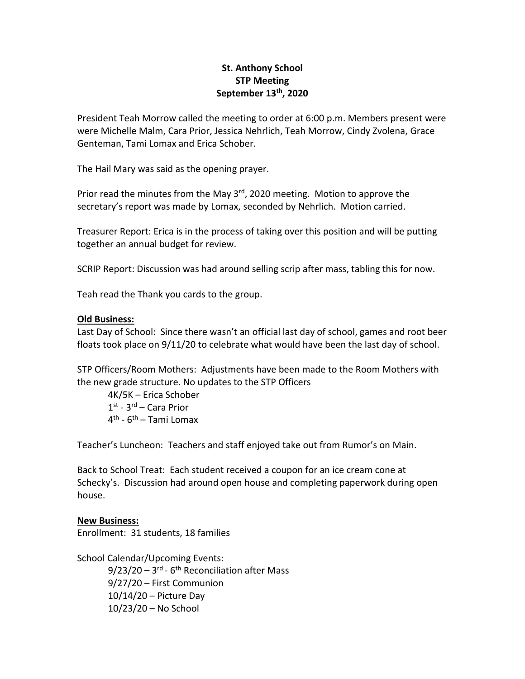# **St. Anthony School STP Meeting September 13th, 2020**

President Teah Morrow called the meeting to order at 6:00 p.m. Members present were were Michelle Malm, Cara Prior, Jessica Nehrlich, Teah Morrow, Cindy Zvolena, Grace Genteman, Tami Lomax and Erica Schober.

The Hail Mary was said as the opening prayer.

Prior read the minutes from the May 3<sup>rd</sup>, 2020 meeting. Motion to approve the secretary's report was made by Lomax, seconded by Nehrlich. Motion carried.

Treasurer Report: Erica is in the process of taking over this position and will be putting together an annual budget for review.

SCRIP Report: Discussion was had around selling scrip after mass, tabling this for now.

Teah read the Thank you cards to the group.

#### **Old Business:**

Last Day of School: Since there wasn't an official last day of school, games and root beer floats took place on 9/11/20 to celebrate what would have been the last day of school.

STP Officers/Room Mothers: Adjustments have been made to the Room Mothers with the new grade structure. No updates to the STP Officers

4K/5K – Erica Schober 1st - 3<sup>rd</sup> – Cara Prior 4<sup>th</sup> - 6<sup>th</sup> – Tami Lomax

Teacher's Luncheon: Teachers and staff enjoyed take out from Rumor's on Main.

Back to School Treat: Each student received a coupon for an ice cream cone at Schecky's. Discussion had around open house and completing paperwork during open house.

## **New Business:**

Enrollment: 31 students, 18 families

School Calendar/Upcoming Events:

9/23/20 – 3<sup>rd</sup> - 6<sup>th</sup> Reconciliation after Mass 9/27/20 – First Communion 10/14/20 – Picture Day 10/23/20 – No School